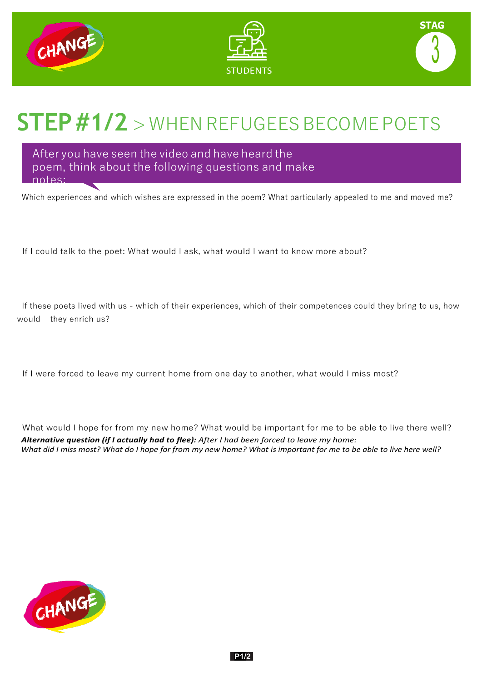





## **STEP#1/2** > WHEN REFUGEESBECOMEPOETS

After you have seen the video and have heard the poem, think about the following questions and make notes:

Which experiences and which wishes are expressed in the poem? What particularly appealed to me and moved me?

If I could talk to the poet: What would I ask, what would I want to know more about?

 If these poets lived with us - which of their experiences, which of their competences could they bring to us, how would they enrich us?

If I were forced to leave my current home from one day to another, what would I miss most?

 What would I hope for from my new home? What would be important for me to be able to live there well?  *Alternative question (if I actually had to flee): After I had been forced to leave my home: What did I miss most? What do I hope for from my new home? What is important for me to be able to live here well?*